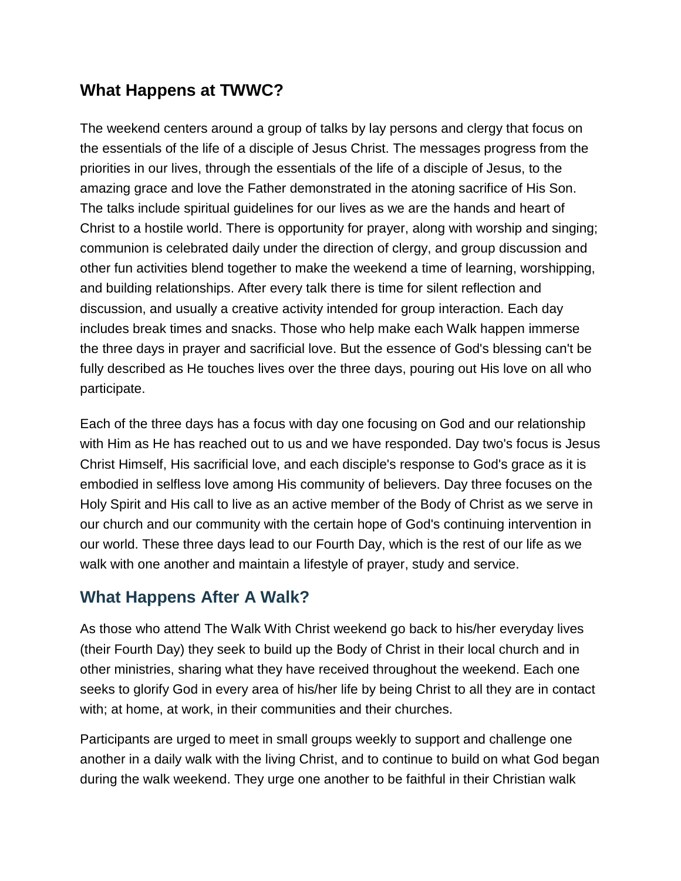## **What Happens at TWWC?**

The weekend centers around a group of talks by lay persons and clergy that focus on the essentials of the life of a disciple of Jesus Christ. The messages progress from the priorities in our lives, through the essentials of the life of a disciple of Jesus, to the amazing grace and love the Father demonstrated in the atoning sacrifice of His Son. The talks include spiritual guidelines for our lives as we are the hands and heart of Christ to a hostile world. There is opportunity for prayer, along with worship and singing; communion is celebrated daily under the direction of clergy, and group discussion and other fun activities blend together to make the weekend a time of learning, worshipping, and building relationships. After every talk there is time for silent reflection and discussion, and usually a creative activity intended for group interaction. Each day includes break times and snacks. Those who help make each Walk happen immerse the three days in prayer and sacrificial love. But the essence of God's blessing can't be fully described as He touches lives over the three days, pouring out His love on all who participate.

Each of the three days has a focus with day one focusing on God and our relationship with Him as He has reached out to us and we have responded. Day two's focus is Jesus Christ Himself, His sacrificial love, and each disciple's response to God's grace as it is embodied in selfless love among His community of believers. Day three focuses on the Holy Spirit and His call to live as an active member of the Body of Christ as we serve in our church and our community with the certain hope of God's continuing intervention in our world. These three days lead to our Fourth Day, which is the rest of our life as we walk with one another and maintain a lifestyle of prayer, study and service.

## **What Happens After A Walk?**

As those who attend The Walk With Christ weekend go back to his/her everyday lives (their Fourth Day) they seek to build up the Body of Christ in their local church and in other ministries, sharing what they have received throughout the weekend. Each one seeks to glorify God in every area of his/her life by being Christ to all they are in contact with; at home, at work, in their communities and their churches.

Participants are urged to meet in small groups weekly to support and challenge one another in a daily walk with the living Christ, and to continue to build on what God began during the walk weekend. They urge one another to be faithful in their Christian walk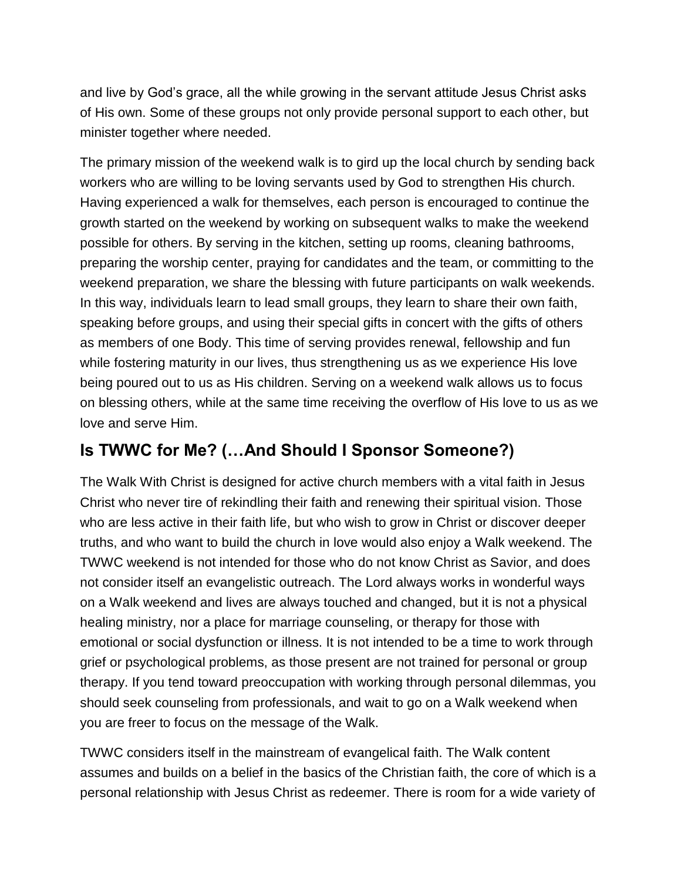and live by God's grace, all the while growing in the servant attitude Jesus Christ asks of His own. Some of these groups not only provide personal support to each other, but minister together where needed.

The primary mission of the weekend walk is to gird up the local church by sending back workers who are willing to be loving servants used by God to strengthen His church. Having experienced a walk for themselves, each person is encouraged to continue the growth started on the weekend by working on subsequent walks to make the weekend possible for others. By serving in the kitchen, setting up rooms, cleaning bathrooms, preparing the worship center, praying for candidates and the team, or committing to the weekend preparation, we share the blessing with future participants on walk weekends. In this way, individuals learn to lead small groups, they learn to share their own faith, speaking before groups, and using their special gifts in concert with the gifts of others as members of one Body. This time of serving provides renewal, fellowship and fun while fostering maturity in our lives, thus strengthening us as we experience His love being poured out to us as His children. Serving on a weekend walk allows us to focus on blessing others, while at the same time receiving the overflow of His love to us as we love and serve Him.

## **Is TWWC for Me? (…And Should I Sponsor Someone?)**

The Walk With Christ is designed for active church members with a vital faith in Jesus Christ who never tire of rekindling their faith and renewing their spiritual vision. Those who are less active in their faith life, but who wish to grow in Christ or discover deeper truths, and who want to build the church in love would also enjoy a Walk weekend. The TWWC weekend is not intended for those who do not know Christ as Savior, and does not consider itself an evangelistic outreach. The Lord always works in wonderful ways on a Walk weekend and lives are always touched and changed, but it is not a physical healing ministry, nor a place for marriage counseling, or therapy for those with emotional or social dysfunction or illness. It is not intended to be a time to work through grief or psychological problems, as those present are not trained for personal or group therapy. If you tend toward preoccupation with working through personal dilemmas, you should seek counseling from professionals, and wait to go on a Walk weekend when you are freer to focus on the message of the Walk.

TWWC considers itself in the mainstream of evangelical faith. The Walk content assumes and builds on a belief in the basics of the Christian faith, the core of which is a personal relationship with Jesus Christ as redeemer. There is room for a wide variety of